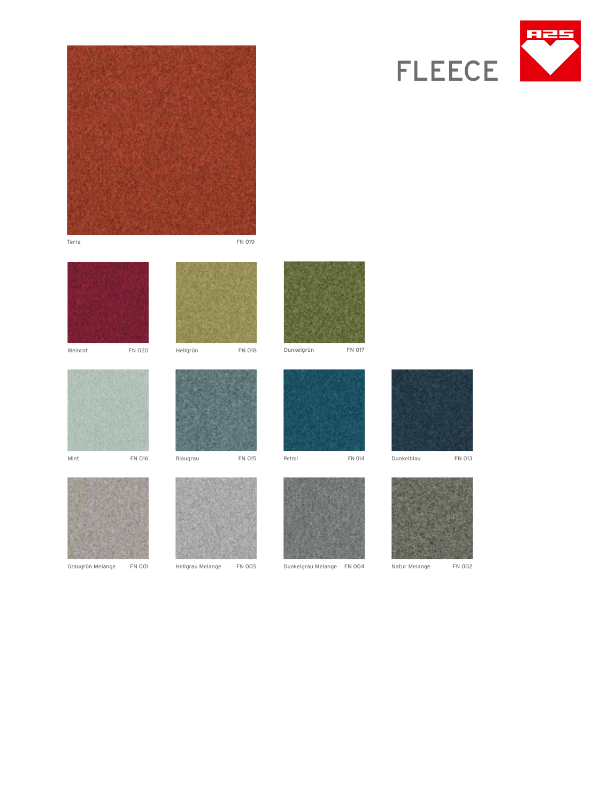









Graugrün Melange FN 001 Hellgrau Melange FN 005 Dunkelgrau Melange FN 004 Natur Melange FN 002



Hellgrün FN 018



Dunkelgrün FN 017